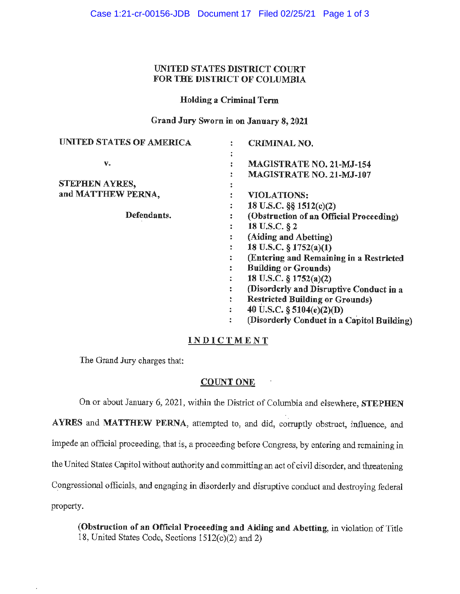## UNITED STATES DISTRICT COURT FOR THE DISTRICT OF COLUMBIA

### Holding a Criminal Term

Grand Jury Sworn in on January 8, 2021

| <b>UNITED STATES OF AMERICA</b> |   | <b>CRIMINAL NO.</b>                        |
|---------------------------------|---|--------------------------------------------|
|                                 |   |                                            |
| v.                              |   | MAGISTRATE NO. 21-MJ-154                   |
|                                 |   | MAGISTRATE NO. 21-MJ-107                   |
| STEPHEN AYRES,                  | ٠ |                                            |
| and MATTHEW PERNA,              |   | <b>VIOLATIONS:</b>                         |
|                                 | : | 18 U.S.C. §§ 1512(c)(2)                    |
| Defendants.                     |   | (Obstruction of an Official Proceeding)    |
|                                 |   | 18 U.S.C. § 2                              |
|                                 |   | (Aiding and Abetting)                      |
|                                 | ÷ | 18 U.S.C. § 1752(a)(1)                     |
|                                 |   | (Entering and Remaining in a Restricted    |
|                                 |   | <b>Building or Grounds)</b>                |
|                                 |   | 18 U.S.C. $\S 1752(a)(2)$                  |
|                                 |   | (Disorderly and Disruptive Conduct in a    |
|                                 |   | <b>Restricted Building or Grounds)</b>     |
|                                 |   | 40 U.S.C. § 5104(e)(2)(D)                  |
|                                 |   | (Disorderly Conduct in a Capitol Building) |
|                                 |   |                                            |

# **INDICTMENT**

The Grand Jury charges that:

## **COUNT ONE**

On or about January 6, 2021, within the District of Columbia and elsewhere, **STEPHEN AYRES** and **MATTHEW PERNA,** attempted to, and did, corruptly obstruct, influence, and impede an official proceeding, that is, a proceeding before Congress, by entering and remaining in the United States Capitol without authority and committing an act of civil disorder, and threatening C\_ongressional officials, and engaging in disorderly and disruptive conduct and destroying federal property.

**(Obstruction of an Official Proceeding and Aiding and Abetting,** in violation of Title 18, United States Code, Sections  $1512(c)(2)$  and 2)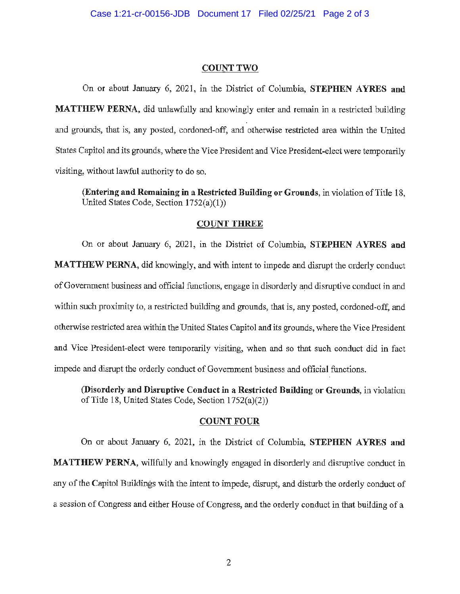#### **COUNT TWO**

On or about January 6, 2021, in the District of Columbia, **STEPHEN AYRES and MATTHEW PERNA**, did unlawfully and knowingly enter and remain in a restricted building and grounds, that is, any posted, cordoned-off, and otherwise restricted area within the United States Capitol and its grounds, where the Vice President and Vice President-elect were temporarily visiting, without lawful authority to do so.

**(Entering and Remaining in a Restricted Building or Grounds, in violation of Title 18,** United States Code, Section 1752(a)(l))

#### **COUNT THREE**

On or about January 6, 2021, in the District of Columbia, **STEPHEN AYRES and MATTHEW PERNA,** did knowingly, and with intent to impede and disrupt the orderly conduct of Government business and official functions, engage in disorderly and disruptive conduct in and within such proximity to, a restricted building and grounds, that is, any posted, cordoned-off, and otherwise restricted area within the United States Capitol and its grounds, where the Vice President and Vice President-elect were temporarily visiting, when and so that such conduct did in fact impede and disrupt the orderly conduct of Government business and official functions.

**(Disorderly and Disruptive Conduct in a Restricted Building or Grounds,** in violation of Title 18, United States Code, Section l 752(a)(2))

### **COUNT FOUR**

On or about January 6, 2021, in the District of Columbia, **STEPHEN AYRES and MATTHEW PERNA,** willfully and knowingly engaged in disorderly and disruptive conduct in any of the Capitol Buildings with the intent to impede, disrupt, and disturb the orderly conduct of a session of Congress and either House of Congress, and the orderly conduct in that building of a